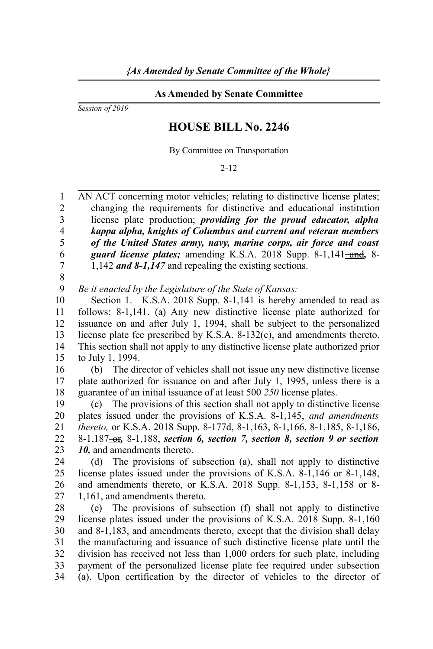## **As Amended by Senate Committee**

*Session of 2019*

## **HOUSE BILL No. 2246**

By Committee on Transportation

2-12

AN ACT concerning motor vehicles; relating to distinctive license plates; changing the requirements for distinctive and educational institution license plate production; *providing for the proud educator, alpha kappa alpha, knights of Columbus and current and veteran members of the United States army, navy, marine corps, air force and coast guard license plates;* amending K.S.A. 2018 Supp. 8-1,141-and, 8-1,142 *and 8-1,147* and repealing the existing sections. 1  $\mathfrak{D}$ 3 4 5 6 7

8

*Be it enacted by the Legislature of the State of Kansas:* 9

Section 1. K.S.A. 2018 Supp. 8-1,141 is hereby amended to read as follows: 8-1,141. (a) Any new distinctive license plate authorized for issuance on and after July 1, 1994, shall be subject to the personalized license plate fee prescribed by K.S.A. 8-132(c), and amendments thereto. This section shall not apply to any distinctive license plate authorized prior to July 1, 1994. 10 11 12 13 14 15

(b) The director of vehicles shall not issue any new distinctive license plate authorized for issuance on and after July 1, 1995, unless there is a guarantee of an initial issuance of at least 500 *250* license plates. 16 17 18

(c) The provisions of this section shall not apply to distinctive license plates issued under the provisions of K.S.A. 8-1,145, *and amendments thereto,* or K.S.A. 2018 Supp. 8-177d, 8-1,163, 8-1,166, 8-1,185, 8-1,186, 8-1,187 or*,* 8-1,188, *section 6, section 7, section 8, section 9 or section 10,* and amendments thereto. 19 20 21 22 23

(d) The provisions of subsection (a), shall not apply to distinctive license plates issued under the provisions of K.S.A. 8-1,146 or 8-1,148, and amendments thereto, or K.S.A. 2018 Supp. 8-1,153, 8-1,158 or 8- 1,161, and amendments thereto. 24 25 26 27

(e) The provisions of subsection (f) shall not apply to distinctive license plates issued under the provisions of K.S.A. 2018 Supp. 8-1,160 and 8-1,183, and amendments thereto, except that the division shall delay the manufacturing and issuance of such distinctive license plate until the division has received not less than 1,000 orders for such plate, including payment of the personalized license plate fee required under subsection (a). Upon certification by the director of vehicles to the director of 28 29 30 31 32 33 34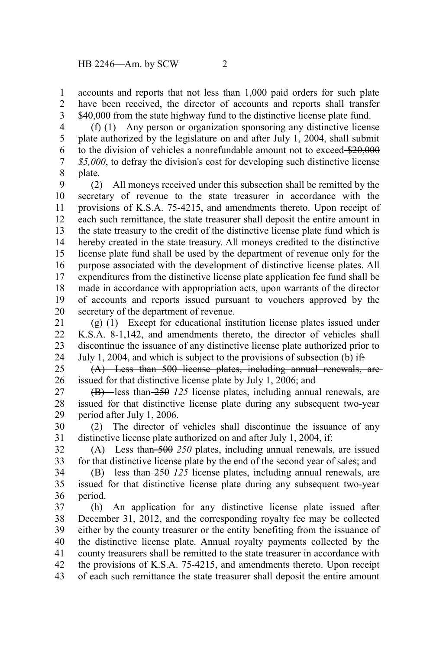accounts and reports that not less than 1,000 paid orders for such plate have been received, the director of accounts and reports shall transfer \$40,000 from the state highway fund to the distinctive license plate fund. 1 2 3

(f) (1) Any person or organization sponsoring any distinctive license plate authorized by the legislature on and after July 1, 2004, shall submit to the division of vehicles a nonrefundable amount not to exceed \$20,000 *\$5,000*, to defray the division's cost for developing such distinctive license plate. 4 5 6 7 8

(2) All moneys received under this subsection shall be remitted by the secretary of revenue to the state treasurer in accordance with the provisions of K.S.A. 75-4215, and amendments thereto. Upon receipt of each such remittance, the state treasurer shall deposit the entire amount in the state treasury to the credit of the distinctive license plate fund which is hereby created in the state treasury. All moneys credited to the distinctive license plate fund shall be used by the department of revenue only for the purpose associated with the development of distinctive license plates. All expenditures from the distinctive license plate application fee fund shall be made in accordance with appropriation acts, upon warrants of the director of accounts and reports issued pursuant to vouchers approved by the secretary of the department of revenue. 9 10 11 12 13 14 15 16 17 18 19 20

(g) (1) Except for educational institution license plates issued under K.S.A. 8-1,142, and amendments thereto, the director of vehicles shall discontinue the issuance of any distinctive license plate authorized prior to July 1, 2004, and which is subject to the provisions of subsection (b) if: 21 22 23 24

(A) Less than 500 license plates, including annual renewals, are issued for that distinctive license plate by July 1, 2006; and 25 26

(B) less than 250 *125* license plates, including annual renewals, are issued for that distinctive license plate during any subsequent two-year period after July 1, 2006. 27 28 29

(2) The director of vehicles shall discontinue the issuance of any distinctive license plate authorized on and after July 1, 2004, if: 30 31

(A) Less than 500 *250* plates, including annual renewals, are issued for that distinctive license plate by the end of the second year of sales; and 32 33

(B) less than 250 *125* license plates, including annual renewals, are issued for that distinctive license plate during any subsequent two-year period. 34 35 36

(h) An application for any distinctive license plate issued after December 31, 2012, and the corresponding royalty fee may be collected either by the county treasurer or the entity benefiting from the issuance of the distinctive license plate. Annual royalty payments collected by the county treasurers shall be remitted to the state treasurer in accordance with the provisions of K.S.A. 75-4215, and amendments thereto. Upon receipt of each such remittance the state treasurer shall deposit the entire amount 37 38 39 40 41 42 43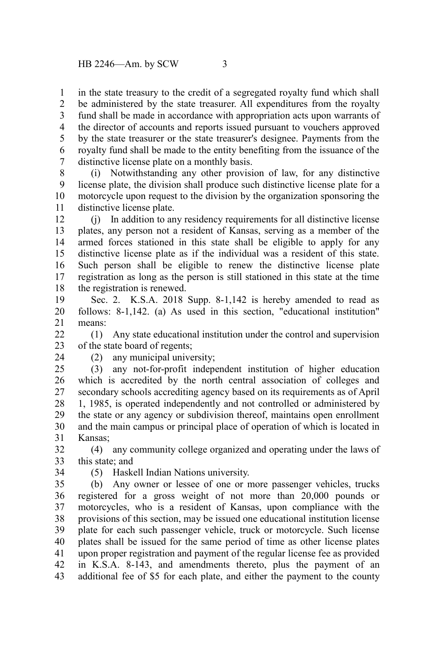in the state treasury to the credit of a segregated royalty fund which shall be administered by the state treasurer. All expenditures from the royalty fund shall be made in accordance with appropriation acts upon warrants of the director of accounts and reports issued pursuant to vouchers approved by the state treasurer or the state treasurer's designee. Payments from the royalty fund shall be made to the entity benefiting from the issuance of the distinctive license plate on a monthly basis. 1 2 3 4 5 6 7

(i) Notwithstanding any other provision of law, for any distinctive license plate, the division shall produce such distinctive license plate for a motorcycle upon request to the division by the organization sponsoring the distinctive license plate. 8 9 10 11

(j) In addition to any residency requirements for all distinctive license plates, any person not a resident of Kansas, serving as a member of the armed forces stationed in this state shall be eligible to apply for any distinctive license plate as if the individual was a resident of this state. Such person shall be eligible to renew the distinctive license plate registration as long as the person is still stationed in this state at the time the registration is renewed. 12 13 14 15 16 17 18

Sec. 2. K.S.A. 2018 Supp. 8-1,142 is hereby amended to read as follows: 8-1,142. (a) As used in this section, "educational institution" means: 19 20 21

(1) Any state educational institution under the control and supervision of the state board of regents;  $22$ 23

24

(2) any municipal university;

(3) any not-for-profit independent institution of higher education which is accredited by the north central association of colleges and secondary schools accrediting agency based on its requirements as of April 1, 1985, is operated independently and not controlled or administered by the state or any agency or subdivision thereof, maintains open enrollment and the main campus or principal place of operation of which is located in Kansas; 25 26 27 28 29 30 31

(4) any community college organized and operating under the laws of this state; and 32 33

34

(5) Haskell Indian Nations university.

(b) Any owner or lessee of one or more passenger vehicles, trucks registered for a gross weight of not more than 20,000 pounds or motorcycles, who is a resident of Kansas, upon compliance with the provisions of this section, may be issued one educational institution license plate for each such passenger vehicle, truck or motorcycle. Such license plates shall be issued for the same period of time as other license plates upon proper registration and payment of the regular license fee as provided in K.S.A. 8-143, and amendments thereto, plus the payment of an additional fee of \$5 for each plate, and either the payment to the county 35 36 37 38 39 40 41 42 43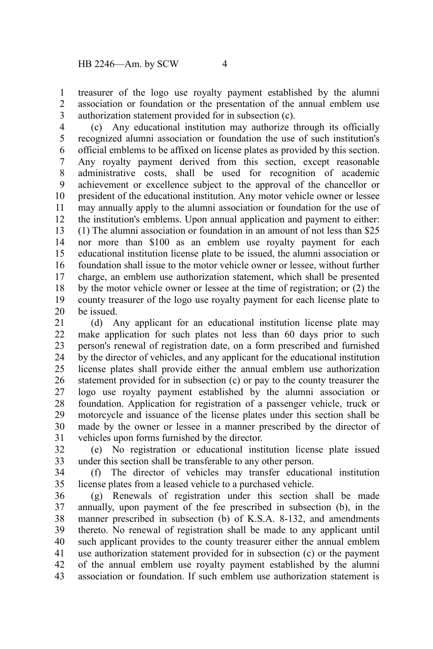treasurer of the logo use royalty payment established by the alumni association or foundation or the presentation of the annual emblem use authorization statement provided for in subsection (c). 1 2 3

(c) Any educational institution may authorize through its officially recognized alumni association or foundation the use of such institution's official emblems to be affixed on license plates as provided by this section. Any royalty payment derived from this section, except reasonable administrative costs, shall be used for recognition of academic achievement or excellence subject to the approval of the chancellor or president of the educational institution. Any motor vehicle owner or lessee may annually apply to the alumni association or foundation for the use of the institution's emblems. Upon annual application and payment to either: (1) The alumni association or foundation in an amount of not less than \$25 nor more than \$100 as an emblem use royalty payment for each educational institution license plate to be issued, the alumni association or foundation shall issue to the motor vehicle owner or lessee, without further charge, an emblem use authorization statement, which shall be presented by the motor vehicle owner or lessee at the time of registration; or (2) the county treasurer of the logo use royalty payment for each license plate to be issued. 4 5 6 7 8 9 10 11 12 13 14 15 16 17 18 19 20

(d) Any applicant for an educational institution license plate may make application for such plates not less than 60 days prior to such person's renewal of registration date, on a form prescribed and furnished by the director of vehicles, and any applicant for the educational institution license plates shall provide either the annual emblem use authorization statement provided for in subsection (c) or pay to the county treasurer the logo use royalty payment established by the alumni association or foundation. Application for registration of a passenger vehicle, truck or motorcycle and issuance of the license plates under this section shall be made by the owner or lessee in a manner prescribed by the director of vehicles upon forms furnished by the director. 21 22 23 24 25 26 27 28 29 30 31

(e) No registration or educational institution license plate issued under this section shall be transferable to any other person. 32 33

(f) The director of vehicles may transfer educational institution license plates from a leased vehicle to a purchased vehicle. 34 35

(g) Renewals of registration under this section shall be made annually, upon payment of the fee prescribed in subsection (b), in the manner prescribed in subsection (b) of K.S.A. 8-132, and amendments thereto. No renewal of registration shall be made to any applicant until such applicant provides to the county treasurer either the annual emblem use authorization statement provided for in subsection (c) or the payment of the annual emblem use royalty payment established by the alumni association or foundation. If such emblem use authorization statement is 36 37 38 39 40 41 42 43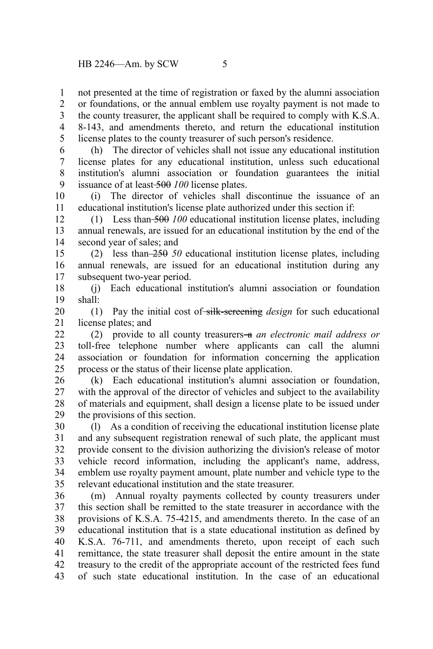not presented at the time of registration or faxed by the alumni association 1

or foundations, or the annual emblem use royalty payment is not made to 2 3

the county treasurer, the applicant shall be required to comply with K.S.A. 8-143, and amendments thereto, and return the educational institution license plates to the county treasurer of such person's residence. 4 5

(h) The director of vehicles shall not issue any educational institution license plates for any educational institution, unless such educational institution's alumni association or foundation guarantees the initial issuance of at least 500 *100* license plates. 6 7 8 9

(i) The director of vehicles shall discontinue the issuance of an educational institution's license plate authorized under this section if: 10 11

(1) Less than 500 *100* educational institution license plates, including annual renewals, are issued for an educational institution by the end of the second year of sales; and 12 13 14

(2) less than 250 *50* educational institution license plates, including annual renewals, are issued for an educational institution during any subsequent two-year period. 15 16 17

(j) Each educational institution's alumni association or foundation shall: 18 19

(1) Pay the initial cost of silk-screening *design* for such educational license plates; and 20 21

(2) provide to all county treasurers a *an electronic mail address or* toll-free telephone number where applicants can call the alumni association or foundation for information concerning the application process or the status of their license plate application.  $22$ 23 24 25

(k) Each educational institution's alumni association or foundation, with the approval of the director of vehicles and subject to the availability of materials and equipment, shall design a license plate to be issued under the provisions of this section. 26 27 28 29

(l) As a condition of receiving the educational institution license plate and any subsequent registration renewal of such plate, the applicant must provide consent to the division authorizing the division's release of motor vehicle record information, including the applicant's name, address, emblem use royalty payment amount, plate number and vehicle type to the relevant educational institution and the state treasurer. 30 31 32 33 34 35

(m) Annual royalty payments collected by county treasurers under this section shall be remitted to the state treasurer in accordance with the provisions of K.S.A. 75-4215, and amendments thereto. In the case of an educational institution that is a state educational institution as defined by K.S.A. 76-711, and amendments thereto, upon receipt of each such remittance, the state treasurer shall deposit the entire amount in the state treasury to the credit of the appropriate account of the restricted fees fund of such state educational institution. In the case of an educational 36 37 38 39 40 41 42 43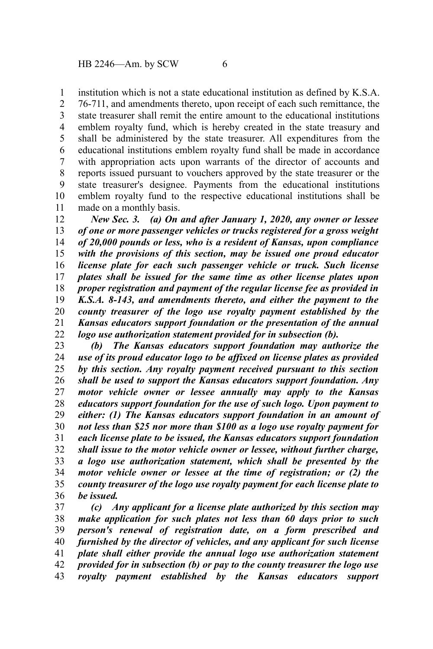institution which is not a state educational institution as defined by K.S.A. 1

76-711, and amendments thereto, upon receipt of each such remittance, the state treasurer shall remit the entire amount to the educational institutions emblem royalty fund, which is hereby created in the state treasury and shall be administered by the state treasurer. All expenditures from the educational institutions emblem royalty fund shall be made in accordance with appropriation acts upon warrants of the director of accounts and reports issued pursuant to vouchers approved by the state treasurer or the state treasurer's designee. Payments from the educational institutions emblem royalty fund to the respective educational institutions shall be made on a monthly basis. 2 3 4 5 6 7 8 9 10 11

*New Sec. 3. (a) On and after January 1, 2020, any owner or lessee of one or more passenger vehicles or trucks registered for a gross weight of 20,000 pounds or less, who is a resident of Kansas, upon compliance with the provisions of this section, may be issued one proud educator license plate for each such passenger vehicle or truck. Such license plates shall be issued for the same time as other license plates upon proper registration and payment of the regular license fee as provided in K.S.A. 8-143, and amendments thereto, and either the payment to the county treasurer of the logo use royalty payment established by the Kansas educators support foundation or the presentation of the annual logo use authorization statement provided for in subsection (b).* 12 13 14 15 16 17 18 19 20 21 22

*(b) The Kansas educators support foundation may authorize the use of its proud educator logo to be affixed on license plates as provided by this section. Any royalty payment received pursuant to this section shall be used to support the Kansas educators support foundation. Any motor vehicle owner or lessee annually may apply to the Kansas educators support foundation for the use of such logo. Upon payment to either: (1) The Kansas educators support foundation in an amount of not less than \$25 nor more than \$100 as a logo use royalty payment for each license plate to be issued, the Kansas educators support foundation shall issue to the motor vehicle owner or lessee, without further charge, a logo use authorization statement, which shall be presented by the motor vehicle owner or lessee at the time of registration; or (2) the county treasurer of the logo use royalty payment for each license plate to be issued.* 23 24 25 26 27 28 29 30 31 32 33 34 35 36

*(c) Any applicant for a license plate authorized by this section may make application for such plates not less than 60 days prior to such person's renewal of registration date, on a form prescribed and furnished by the director of vehicles, and any applicant for such license plate shall either provide the annual logo use authorization statement provided for in subsection (b) or pay to the county treasurer the logo use royalty payment established by the Kansas educators support* 37 38 39 40 41 42 43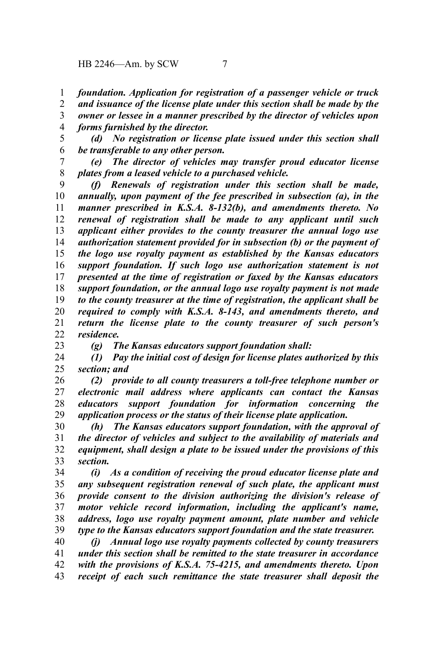*foundation. Application for registration of a passenger vehicle or truck* 1

*and issuance of the license plate under this section shall be made by the* 2

- *owner or lessee in a manner prescribed by the director of vehicles upon forms furnished by the director.* 3 4
- *(d) No registration or license plate issued under this section shall be transferable to any other person.* 5 6
- *(e) The director of vehicles may transfer proud educator license plates from a leased vehicle to a purchased vehicle.* 7 8

*(f) Renewals of registration under this section shall be made, annually, upon payment of the fee prescribed in subsection (a), in the manner prescribed in K.S.A. 8-132(b), and amendments thereto. No renewal of registration shall be made to any applicant until such applicant either provides to the county treasurer the annual logo use authorization statement provided for in subsection (b) or the payment of the logo use royalty payment as established by the Kansas educators support foundation. If such logo use authorization statement is not presented at the time of registration or faxed by the Kansas educators support foundation, or the annual logo use royalty payment is not made to the county treasurer at the time of registration, the applicant shall be required to comply with K.S.A. 8-143, and amendments thereto, and return the license plate to the county treasurer of such person's residence.* 9 10 11 12 13 14 15 16 17 18 19 20 21 22

23

*(g) The Kansas educators support foundation shall:*

*(1) Pay the initial cost of design for license plates authorized by this section; and* 24 25

*(2) provide to all county treasurers a toll-free telephone number or electronic mail address where applicants can contact the Kansas educators support foundation for information concerning the application process or the status of their license plate application.* 26 27 28 29

*(h) The Kansas educators support foundation, with the approval of the director of vehicles and subject to the availability of materials and equipment, shall design a plate to be issued under the provisions of this section.* 30 31 32 33

*(i) As a condition of receiving the proud educator license plate and any subsequent registration renewal of such plate, the applicant must provide consent to the division authorizing the division's release of motor vehicle record information, including the applicant's name, address, logo use royalty payment amount, plate number and vehicle type to the Kansas educators support foundation and the state treasurer.* 34 35 36 37 38 39

*(j) Annual logo use royalty payments collected by county treasurers under this section shall be remitted to the state treasurer in accordance with the provisions of K.S.A. 75-4215, and amendments thereto. Upon receipt of each such remittance the state treasurer shall deposit the* 40 41 42 43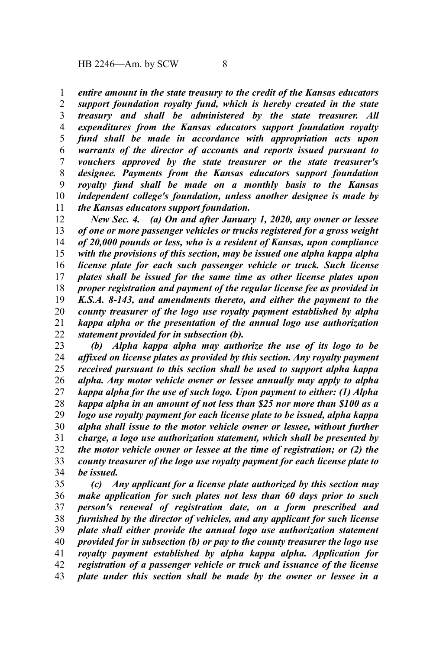*entire amount in the state treasury to the credit of the Kansas educators* 1

*support foundation royalty fund, which is hereby created in the state treasury and shall be administered by the state treasurer. All expenditures from the Kansas educators support foundation royalty fund shall be made in accordance with appropriation acts upon warrants of the director of accounts and reports issued pursuant to vouchers approved by the state treasurer or the state treasurer's designee. Payments from the Kansas educators support foundation royalty fund shall be made on a monthly basis to the Kansas independent college's foundation, unless another designee is made by the Kansas educators support foundation.* 2 3 4 5 6 7 8 9 10 11

*New Sec. 4. (a) On and after January 1, 2020, any owner or lessee of one or more passenger vehicles or trucks registered for a gross weight of 20,000 pounds or less, who is a resident of Kansas, upon compliance with the provisions of this section, may be issued one alpha kappa alpha license plate for each such passenger vehicle or truck. Such license plates shall be issued for the same time as other license plates upon proper registration and payment of the regular license fee as provided in K.S.A. 8-143, and amendments thereto, and either the payment to the county treasurer of the logo use royalty payment established by alpha kappa alpha or the presentation of the annual logo use authorization statement provided for in subsection (b).* 12 13 14 15 16 17 18 19 20 21 22

*(b) Alpha kappa alpha may authorize the use of its logo to be affixed on license plates as provided by this section. Any royalty payment received pursuant to this section shall be used to support alpha kappa alpha. Any motor vehicle owner or lessee annually may apply to alpha kappa alpha for the use of such logo. Upon payment to either: (1) Alpha kappa alpha in an amount of not less than \$25 nor more than \$100 as a logo use royalty payment for each license plate to be issued, alpha kappa alpha shall issue to the motor vehicle owner or lessee, without further charge, a logo use authorization statement, which shall be presented by the motor vehicle owner or lessee at the time of registration; or (2) the county treasurer of the logo use royalty payment for each license plate to be issued.* 23 24 25 26 27 28 29 30 31 32 33 34

*(c) Any applicant for a license plate authorized by this section may make application for such plates not less than 60 days prior to such person's renewal of registration date, on a form prescribed and furnished by the director of vehicles, and any applicant for such license plate shall either provide the annual logo use authorization statement provided for in subsection (b) or pay to the county treasurer the logo use royalty payment established by alpha kappa alpha. Application for registration of a passenger vehicle or truck and issuance of the license plate under this section shall be made by the owner or lessee in a* 35 36 37 38 39 40 41 42 43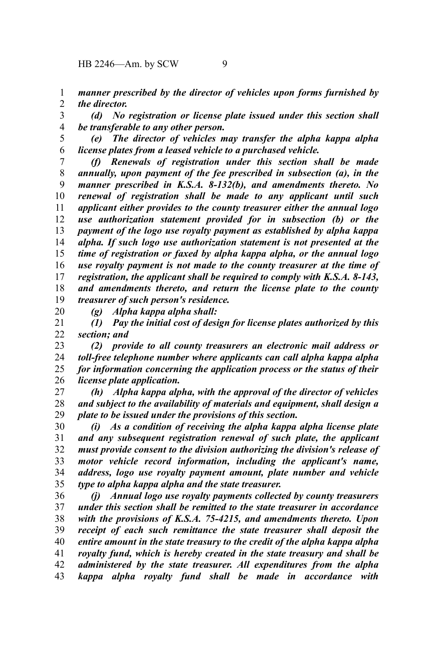HB 2246—Am. by SCW 9

*manner prescribed by the director of vehicles upon forms furnished by the director.* 1 2

*(d) No registration or license plate issued under this section shall be transferable to any other person.* 3 4

*(e) The director of vehicles may transfer the alpha kappa alpha license plates from a leased vehicle to a purchased vehicle.* 5 6

*(f) Renewals of registration under this section shall be made annually, upon payment of the fee prescribed in subsection (a), in the manner prescribed in K.S.A. 8-132(b), and amendments thereto. No renewal of registration shall be made to any applicant until such applicant either provides to the county treasurer either the annual logo use authorization statement provided for in subsection (b) or the payment of the logo use royalty payment as established by alpha kappa alpha. If such logo use authorization statement is not presented at the time of registration or faxed by alpha kappa alpha, or the annual logo use royalty payment is not made to the county treasurer at the time of registration, the applicant shall be required to comply with K.S.A. 8-143, and amendments thereto, and return the license plate to the county treasurer of such person's residence.* 7 8 9 10 11 12 13 14 15 16 17 18 19

20

*(g) Alpha kappa alpha shall:*

*(1) Pay the initial cost of design for license plates authorized by this section; and* 21 22

*(2) provide to all county treasurers an electronic mail address or toll-free telephone number where applicants can call alpha kappa alpha for information concerning the application process or the status of their license plate application.* 23 24 25 26

*(h) Alpha kappa alpha, with the approval of the director of vehicles and subject to the availability of materials and equipment, shall design a plate to be issued under the provisions of this section.* 27 28 29

*(i) As a condition of receiving the alpha kappa alpha license plate and any subsequent registration renewal of such plate, the applicant must provide consent to the division authorizing the division's release of motor vehicle record information, including the applicant's name, address, logo use royalty payment amount, plate number and vehicle type to alpha kappa alpha and the state treasurer.* 30 31 32 33 34 35

*(j) Annual logo use royalty payments collected by county treasurers under this section shall be remitted to the state treasurer in accordance with the provisions of K.S.A. 75-4215, and amendments thereto. Upon receipt of each such remittance the state treasurer shall deposit the entire amount in the state treasury to the credit of the alpha kappa alpha royalty fund, which is hereby created in the state treasury and shall be administered by the state treasurer. All expenditures from the alpha kappa alpha royalty fund shall be made in accordance with* 36 37 38 39 40 41 42 43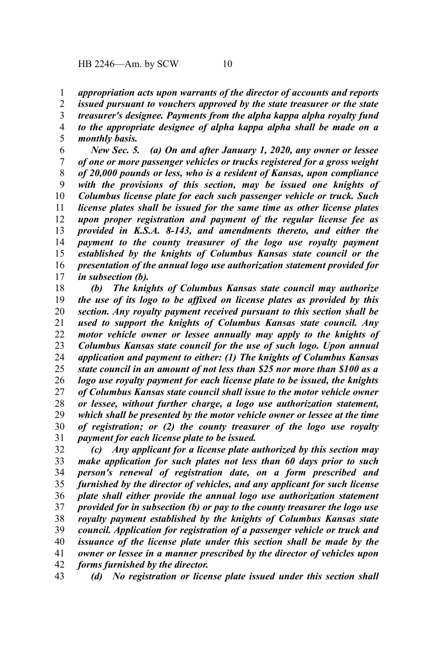*appropriation acts upon warrants of the director of accounts and reports* 1

*issued pursuant to vouchers approved by the state treasurer or the state treasurer's designee. Payments from the alpha kappa alpha royalty fund to the appropriate designee of alpha kappa alpha shall be made on a* 2 3 4

*monthly basis.* 5

*New Sec. 5. (a) On and after January 1, 2020, any owner or lessee of one or more passenger vehicles or trucks registered for a gross weight of 20,000 pounds or less, who is a resident of Kansas, upon compliance with the provisions of this section, may be issued one knights of Columbus license plate for each such passenger vehicle or truck. Such license plates shall be issued for the same time as other license plates upon proper registration and payment of the regular license fee as provided in K.S.A. 8-143, and amendments thereto, and either the payment to the county treasurer of the logo use royalty payment established by the knights of Columbus Kansas state council or the presentation of the annual logo use authorization statement provided for in subsection (b).* 6 7 8 9 10 11 12 13 14 15 16 17

*(b) The knights of Columbus Kansas state council may authorize the use of its logo to be affixed on license plates as provided by this section. Any royalty payment received pursuant to this section shall be used to support the knights of Columbus Kansas state council. Any motor vehicle owner or lessee annually may apply to the knights of Columbus Kansas state council for the use of such logo. Upon annual application and payment to either: (1) The knights of Columbus Kansas state council in an amount of not less than \$25 nor more than \$100 as a logo use royalty payment for each license plate to be issued, the knights of Columbus Kansas state council shall issue to the motor vehicle owner or lessee, without further charge, a logo use authorization statement, which shall be presented by the motor vehicle owner or lessee at the time of registration; or (2) the county treasurer of the logo use royalty payment for each license plate to be issued.* 18 19 20 21 22 23 24 25 26 27 28 29 30 31

*(c) Any applicant for a license plate authorized by this section may make application for such plates not less than 60 days prior to such person's renewal of registration date, on a form prescribed and furnished by the director of vehicles, and any applicant for such license plate shall either provide the annual logo use authorization statement provided for in subsection (b) or pay to the county treasurer the logo use royalty payment established by the knights of Columbus Kansas state council. Application for registration of a passenger vehicle or truck and issuance of the license plate under this section shall be made by the owner or lessee in a manner prescribed by the director of vehicles upon forms furnished by the director.* 32 33 34 35 36 37 38 39 40 41 42

*(d) No registration or license plate issued under this section shall* 43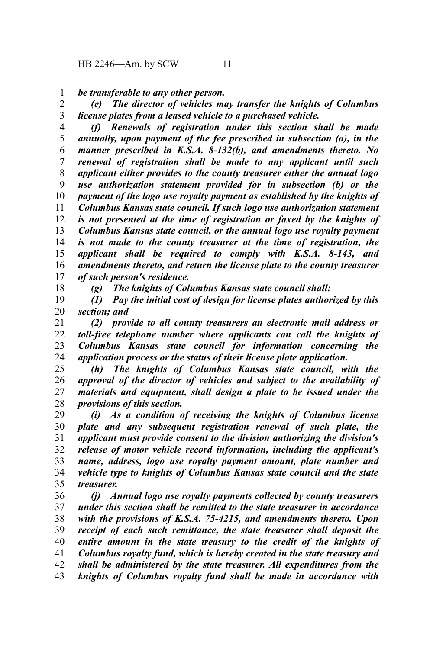*be transferable to any other person.* 1

*(e) The director of vehicles may transfer the knights of Columbus license plates from a leased vehicle to a purchased vehicle.* 2 3

*(f) Renewals of registration under this section shall be made annually, upon payment of the fee prescribed in subsection (a), in the manner prescribed in K.S.A. 8-132(b), and amendments thereto. No renewal of registration shall be made to any applicant until such applicant either provides to the county treasurer either the annual logo use authorization statement provided for in subsection (b) or the payment of the logo use royalty payment as established by the knights of Columbus Kansas state council. If such logo use authorization statement is not presented at the time of registration or faxed by the knights of Columbus Kansas state council, or the annual logo use royalty payment is not made to the county treasurer at the time of registration, the applicant shall be required to comply with K.S.A. 8-143, and amendments thereto, and return the license plate to the county treasurer of such person's residence.* 4 5 6 7 8 9 10 11 12 13 14 15 16 17

18

*(g) The knights of Columbus Kansas state council shall:*

*(1) Pay the initial cost of design for license plates authorized by this section; and* 19 20

*(2) provide to all county treasurers an electronic mail address or toll-free telephone number where applicants can call the knights of Columbus Kansas state council for information concerning the application process or the status of their license plate application.* 21 22 23 24

*(h) The knights of Columbus Kansas state council, with the approval of the director of vehicles and subject to the availability of materials and equipment, shall design a plate to be issued under the provisions of this section.* 25 26 27 28

*(i) As a condition of receiving the knights of Columbus license plate and any subsequent registration renewal of such plate, the applicant must provide consent to the division authorizing the division's release of motor vehicle record information, including the applicant's name, address, logo use royalty payment amount, plate number and vehicle type to knights of Columbus Kansas state council and the state treasurer.* 29 30 31 32 33 34 35

*(j) Annual logo use royalty payments collected by county treasurers under this section shall be remitted to the state treasurer in accordance with the provisions of K.S.A. 75-4215, and amendments thereto. Upon receipt of each such remittance, the state treasurer shall deposit the entire amount in the state treasury to the credit of the knights of Columbus royalty fund, which is hereby created in the state treasury and shall be administered by the state treasurer. All expenditures from the knights of Columbus royalty fund shall be made in accordance with* 36 37 38 39 40 41 42 43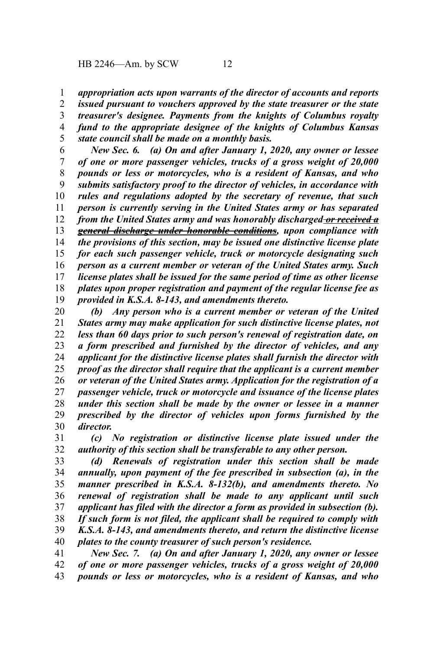*appropriation acts upon warrants of the director of accounts and reports* 1

*issued pursuant to vouchers approved by the state treasurer or the state treasurer's designee. Payments from the knights of Columbus royalty fund to the appropriate designee of the knights of Columbus Kansas state council shall be made on a monthly basis.* 2 3 4 5

*New Sec. 6. (a) On and after January 1, 2020, any owner or lessee of one or more passenger vehicles, trucks of a gross weight of 20,000 pounds or less or motorcycles, who is a resident of Kansas, and who submits satisfactory proof to the director of vehicles, in accordance with rules and regulations adopted by the secretary of revenue, that such person is currently serving in the United States army or has separated from the United States army and was honorably discharged or received a general discharge under honorable conditions, upon compliance with the provisions of this section, may be issued one distinctive license plate for each such passenger vehicle, truck or motorcycle designating such person as a current member or veteran of the United States army. Such license plates shall be issued for the same period of time as other license plates upon proper registration and payment of the regular license fee as provided in K.S.A. 8-143, and amendments thereto.* 6 7 8 9 10 11 12 13 14 15 16 17 18 19

*(b) Any person who is a current member or veteran of the United States army may make application for such distinctive license plates, not less than 60 days prior to such person's renewal of registration date, on a form prescribed and furnished by the director of vehicles, and any applicant for the distinctive license plates shall furnish the director with proof as the director shall require that the applicant is a current member or veteran of the United States army. Application for the registration of a passenger vehicle, truck or motorcycle and issuance of the license plates under this section shall be made by the owner or lessee in a manner prescribed by the director of vehicles upon forms furnished by the director.* 20 21 22 23 24 25 26 27 28 29 30

*(c) No registration or distinctive license plate issued under the authority of this section shall be transferable to any other person.* 31 32

*(d) Renewals of registration under this section shall be made annually, upon payment of the fee prescribed in subsection (a), in the manner prescribed in K.S.A. 8-132(b), and amendments thereto. No renewal of registration shall be made to any applicant until such applicant has filed with the director a form as provided in subsection (b). If such form is not filed, the applicant shall be required to comply with K.S.A. 8-143, and amendments thereto, and return the distinctive license plates to the county treasurer of such person's residence.* 33 34 35 36 37 38 39 40

*New Sec. 7. (a) On and after January 1, 2020, any owner or lessee of one or more passenger vehicles, trucks of a gross weight of 20,000 pounds or less or motorcycles, who is a resident of Kansas, and who* 41 42 43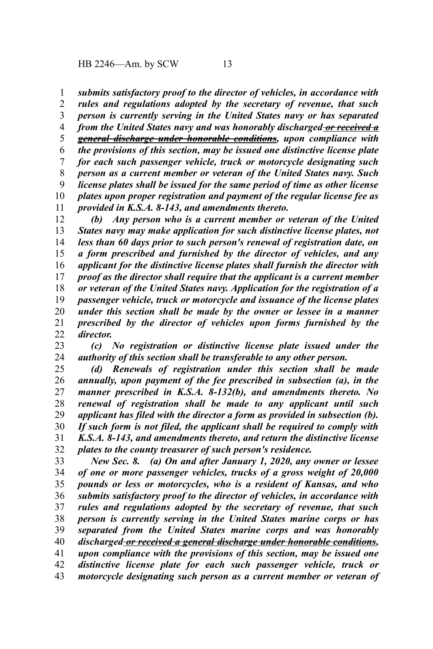HB 2246—Am. by SCW 13

*submits satisfactory proof to the director of vehicles, in accordance with rules and regulations adopted by the secretary of revenue, that such person is currently serving in the United States navy or has separated from the United States navy and was honorably discharged or received a general discharge under honorable conditions, upon compliance with the provisions of this section, may be issued one distinctive license plate for each such passenger vehicle, truck or motorcycle designating such person as a current member or veteran of the United States navy. Such license plates shall be issued for the same period of time as other license plates upon proper registration and payment of the regular license fee as provided in K.S.A. 8-143, and amendments thereto.* 1 2 3 4 5 6 7 8 9 10 11

*(b) Any person who is a current member or veteran of the United States navy may make application for such distinctive license plates, not less than 60 days prior to such person's renewal of registration date, on a form prescribed and furnished by the director of vehicles, and any applicant for the distinctive license plates shall furnish the director with proof as the director shall require that the applicant is a current member or veteran of the United States navy. Application for the registration of a passenger vehicle, truck or motorcycle and issuance of the license plates under this section shall be made by the owner or lessee in a manner prescribed by the director of vehicles upon forms furnished by the director.* 12 13 14 15 16 17 18 19 20 21 22

*(c) No registration or distinctive license plate issued under the authority of this section shall be transferable to any other person.* 23 24

*(d) Renewals of registration under this section shall be made annually, upon payment of the fee prescribed in subsection (a), in the manner prescribed in K.S.A. 8-132(b), and amendments thereto. No renewal of registration shall be made to any applicant until such applicant has filed with the director a form as provided in subsection (b). If such form is not filed, the applicant shall be required to comply with K.S.A. 8-143, and amendments thereto, and return the distinctive license plates to the county treasurer of such person's residence.* 25 26 27 28 29 30 31 32

*New Sec. 8. (a) On and after January 1, 2020, any owner or lessee of one or more passenger vehicles, trucks of a gross weight of 20,000 pounds or less or motorcycles, who is a resident of Kansas, and who submits satisfactory proof to the director of vehicles, in accordance with rules and regulations adopted by the secretary of revenue, that such person is currently serving in the United States marine corps or has separated from the United States marine corps and was honorably discharged or received a general discharge under honorable conditions, upon compliance with the provisions of this section, may be issued one distinctive license plate for each such passenger vehicle, truck or* 33 34 35 36 37 38 39 40 41 42

*motorcycle designating such person as a current member or veteran of* 43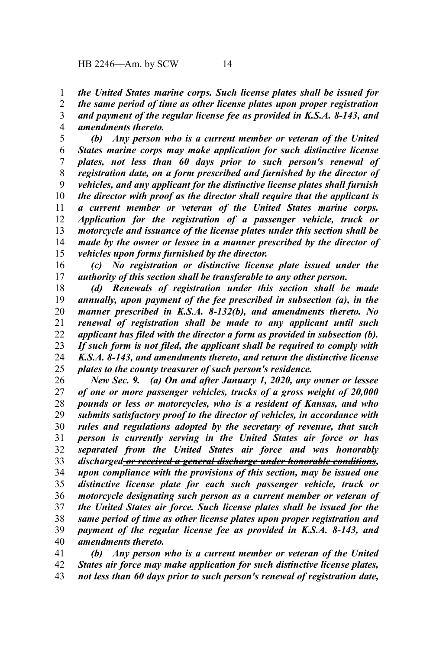*the United States marine corps. Such license plates shall be issued for the same period of time as other license plates upon proper registration* 1 2

*and payment of the regular license fee as provided in K.S.A. 8-143, and amendments thereto.* 3 4

*(b) Any person who is a current member or veteran of the United States marine corps may make application for such distinctive license plates, not less than 60 days prior to such person's renewal of registration date, on a form prescribed and furnished by the director of vehicles, and any applicant for the distinctive license plates shall furnish the director with proof as the director shall require that the applicant is a current member or veteran of the United States marine corps. Application for the registration of a passenger vehicle, truck or motorcycle and issuance of the license plates under this section shall be made by the owner or lessee in a manner prescribed by the director of vehicles upon forms furnished by the director.* 5 6 7 8 9 10 11 12 13 14 15

*(c) No registration or distinctive license plate issued under the authority of this section shall be transferable to any other person.* 16 17

*(d) Renewals of registration under this section shall be made annually, upon payment of the fee prescribed in subsection (a), in the manner prescribed in K.S.A. 8-132(b), and amendments thereto. No renewal of registration shall be made to any applicant until such applicant has filed with the director a form as provided in subsection (b). If such form is not filed, the applicant shall be required to comply with K.S.A. 8-143, and amendments thereto, and return the distinctive license plates to the county treasurer of such person's residence.* 18 19 20 21 22 23 24 25

*New Sec. 9. (a) On and after January 1, 2020, any owner or lessee of one or more passenger vehicles, trucks of a gross weight of 20,000 pounds or less or motorcycles, who is a resident of Kansas, and who submits satisfactory proof to the director of vehicles, in accordance with rules and regulations adopted by the secretary of revenue, that such person is currently serving in the United States air force or has separated from the United States air force and was honorably discharged or received a general discharge under honorable conditions, upon compliance with the provisions of this section, may be issued one distinctive license plate for each such passenger vehicle, truck or motorcycle designating such person as a current member or veteran of the United States air force. Such license plates shall be issued for the same period of time as other license plates upon proper registration and payment of the regular license fee as provided in K.S.A. 8-143, and amendments thereto.* 26 27 28 29 30 31 32 33 34 35 36 37 38 39 40

*(b) Any person who is a current member or veteran of the United States air force may make application for such distinctive license plates, not less than 60 days prior to such person's renewal of registration date,* 41 42 43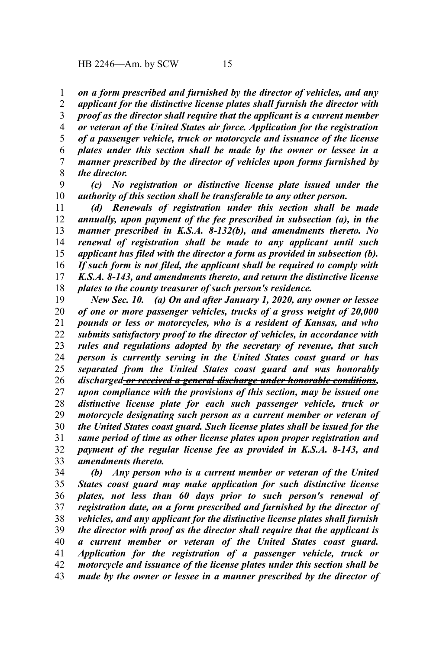*on a form prescribed and furnished by the director of vehicles, and any* 1

*applicant for the distinctive license plates shall furnish the director with proof as the director shall require that the applicant is a current member or veteran of the United States air force. Application for the registration of a passenger vehicle, truck or motorcycle and issuance of the license plates under this section shall be made by the owner or lessee in a manner prescribed by the director of vehicles upon forms furnished by the director.* 2 3 4 5 6 7 8

*(c) No registration or distinctive license plate issued under the authority of this section shall be transferable to any other person.* 9 10

*(d) Renewals of registration under this section shall be made annually, upon payment of the fee prescribed in subsection (a), in the manner prescribed in K.S.A. 8-132(b), and amendments thereto. No renewal of registration shall be made to any applicant until such applicant has filed with the director a form as provided in subsection (b). If such form is not filed, the applicant shall be required to comply with K.S.A. 8-143, and amendments thereto, and return the distinctive license plates to the county treasurer of such person's residence.* 11 12 13 14 15 16 17 18

*New Sec. 10. (a) On and after January 1, 2020, any owner or lessee of one or more passenger vehicles, trucks of a gross weight of 20,000 pounds or less or motorcycles, who is a resident of Kansas, and who submits satisfactory proof to the director of vehicles, in accordance with rules and regulations adopted by the secretary of revenue, that such person is currently serving in the United States coast guard or has separated from the United States coast guard and was honorably discharged or received a general discharge under honorable conditions, upon compliance with the provisions of this section, may be issued one distinctive license plate for each such passenger vehicle, truck or motorcycle designating such person as a current member or veteran of the United States coast guard. Such license plates shall be issued for the same period of time as other license plates upon proper registration and payment of the regular license fee as provided in K.S.A. 8-143, and amendments thereto.* 19 20 21 22 23 24 25 26 27 28 29 30 31 32 33

*(b) Any person who is a current member or veteran of the United States coast guard may make application for such distinctive license plates, not less than 60 days prior to such person's renewal of registration date, on a form prescribed and furnished by the director of vehicles, and any applicant for the distinctive license plates shall furnish the director with proof as the director shall require that the applicant is a current member or veteran of the United States coast guard. Application for the registration of a passenger vehicle, truck or motorcycle and issuance of the license plates under this section shall be made by the owner or lessee in a manner prescribed by the director of* 34 35 36 37 38 39 40 41 42 43